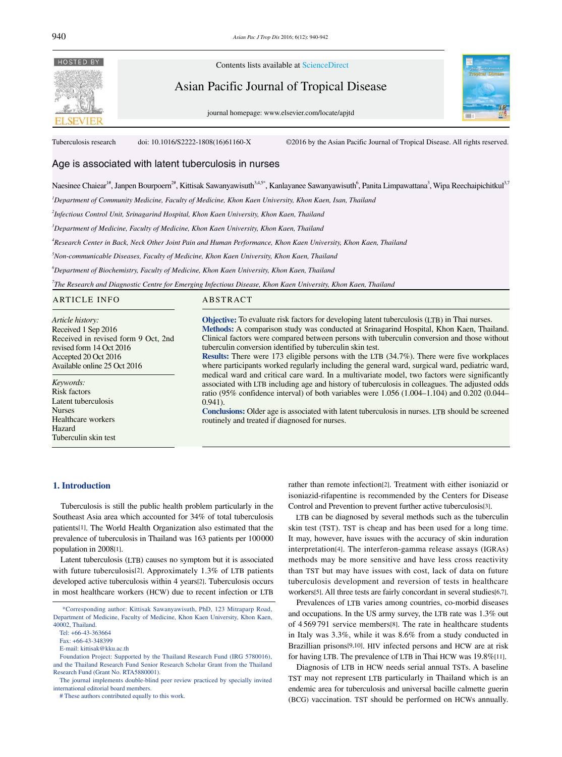

Contents lists available at ScienceDirect

Asian Pacific Journal of Tropical Disease

journal homepage: www.elsevier.com/locate/apjtd



Tuberculosis research doi: 10.1016/S2222-1808(16)61160-X ©2016 by the Asian Pacific Journal of Tropical Disease. All rights reserved.

# Age is associated with latent tuberculosis in nurses

Naesinee Chaiear<sup>1#</sup>, Janpen Bourpoern<sup>2#</sup>, Kittisak Sawanyawisuth<sup>3,4,5\*</sup>, Kanlayanee Sawanyawisuth<sup>6</sup>, Panita Limpawattana<sup>3</sup>, Wipa Reechaipichitkul<sup>3,7</sup>

*1 Department of Community Medicine, Faculty of Medicine, Khon Kaen University, Khon Kaen, Isan, Thailand*

*2 Infectious Control Unit, Srinagarind Hospital, Khon Kaen University, Khon Kaen, Thailand*

*3 Department of Medicine, Faculty of Medicine, Khon Kaen University, Khon Kaen, Thailand*

*4 Research Center in Back, Neck Other Joint Pain and Human Performance, Khon Kaen University, Khon Kaen, Thailand*

*5 Non-communicable Diseases, Faculty of Medicine, Khon Kaen University, Khon Kaen, Thailand*

*6 Department of Biochemistry, Faculty of Medicine, Khon Kaen University, Khon Kaen, Thailand*

*7 The Research and Diagnostic Centre for Emerging Infectious Disease, Khon Kaen University, Khon Kaen, Thailand* 

ARTICLE INFO ABSTRACT

revised form 14 Oct 2016 Accepted 20 Oct 2016 Available online 25 Oct 2016

Received in revised form 9 Oct, 2nd

*Article history:* Received 1 Sep 2016

*Keywords:* Risk factors Latent tuberculosis

Nurses

Hazard

**Objective:** To evaluate risk factors for developing latent tuberculosis (LTB) in Thai nurses. **Methods:** A comparison study was conducted at Srinagarind Hospital, Khon Kaen, Thailand. Clinical factors were compared between persons with tuberculin conversion and those without tuberculin conversion identified by tuberculin skin test. **Results:** There were 173 eligible persons with the LTB (34.7%). There were five workplaces

where participants worked regularly including the general ward, surgical ward, pediatric ward, medical ward and critical care ward. In a multivariate model, two factors were significantly associated with LTB including age and history of tuberculosis in colleagues. The adjusted odds ratio (95% confidence interval) of both variables were 1.056 (1.004–1.104) and 0.202 (0.044– 0.941).

**Conclusions:** Older age is associated with latent tuberculosis in nurses. LTB should be screened routinely and treated if diagnosed for nurses.

## **1. Introduction**

Healthcare workers

Tuberculin skin test

 Tuberculosis is still the public health problem particularly in the Southeast Asia area which accounted for 34% of total tuberculosis patients[1]. The World Health Organization also estimated that the prevalence of tuberculosis in Thailand was 163 patients per 100000 population in 2008[1].

 Latent tuberculosis (LTB) causes no symptom but it is associated with future tuberculosis[2]. Approximately 1.3% of LTB patients developed active tuberculosis within 4 years[2]. Tuberculosis occurs in most healthcare workers (HCW) due to recent infection or LTB

# These authors contributed equally to this work.

rather than remote infection[2]. Treatment with either isoniazid or isoniazid-rifapentine is recommended by the Centers for Disease Control and Prevention to prevent further active tuberculosis[3].

 LTB can be diagnosed by several methods such as the tuberculin skin test (TST). TST is cheap and has been used for a long time. It may, however, have issues with the accuracy of skin induration interpretation[4]. The interferon-gamma release assays (IGRAs) methods may be more sensitive and have less cross reactivity than TST but may have issues with cost, lack of data on future tuberculosis development and reversion of tests in healthcare workers[5]. All three tests are fairly concordant in several studies[6,7].

 Prevalences of LTB varies among countries, co-morbid diseases and occupations. In the US army survey, the LTB rate was 1.3% out of 4 569 791 service members[8]. The rate in healthcare students in Italy was 3.3%, while it was 8.6% from a study conducted in Brazillian prisons[9,10]. HIV infected persons and HCW are at risk for having LTB. The prevalence of LTB in Thai HCW was 19.8%[11].

 Diagnosis of LTB in HCW needs serial annual TSTs. A baseline TST may not represent LTB particularly in Thailand which is an endemic area for tuberculosis and universal bacille calmette guerin (BCG) vaccination. TST should be performed on HCWs annually.

 <sup>\*</sup>Corresponding author: Kittisak Sawanyawisuth, PhD, 123 Mitraparp Road, Department of Medicine, Faculty of Medicine, Khon Kaen University, Khon Kaen, 40002, Thailand.

Tel: +66-43-363664

Fax: +66-43-348399

E-mail: kittisak@kku.ac.th

Foundation Project: Supported by the Thailand Research Fund (IRG 5780016), and the Thailand Research Fund Senior Research Scholar Grant from the Thailand Research Fund (Grant No. RTA5880001).

The journal implements double-blind peer review practiced by specially invited international editorial board members.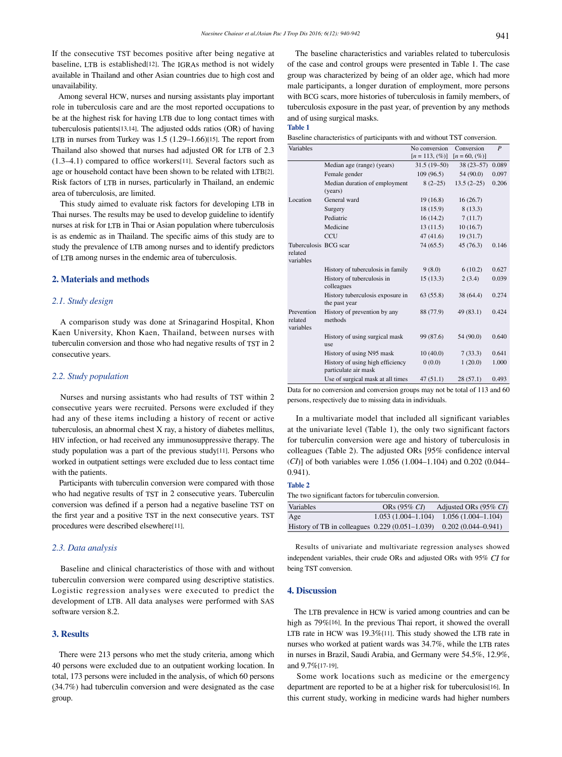**Table 1**

If the consecutive TST becomes positive after being negative at baseline, LTB is established[12]. The IGRAs method is not widely available in Thailand and other Asian countries due to high cost and unavailability.

 Among several HCW, nurses and nursing assistants play important role in tuberculosis care and are the most reported occupations to be at the highest risk for having LTB due to long contact times with tuberculosis patients[13,14]. The adjusted odds ratios (OR) of having LTB in nurses from Turkey was 1.5 (1.29–1.66)[15]. The report from Thailand also showed that nurses had adjusted OR for LTB of 2.3 (1.3–4.1) compared to office workers[11]. Several factors such as age or household contact have been shown to be related with LTB[2]. Risk factors of LTB in nurses, particularly in Thailand, an endemic area of tuberculosis, are limited.

 This study aimed to evaluate risk factors for developing LTB in Thai nurses. The results may be used to develop guideline to identify nurses at risk for LTB in Thai or Asian population where tuberculosis is as endemic as in Thailand. The specific aims of this study are to study the prevalence of LTB among nurses and to identify predictors of LTB among nurses in the endemic area of tuberculosis.

## **2. Materials and methods**

## *2.1. Study design*

 A comparison study was done at Srinagarind Hospital, Khon Kaen University, Khon Kaen, Thailand, between nurses with tuberculin conversion and those who had negative results of TST in 2 consecutive years.

# *2.2. Study population*

 Nurses and nursing assistants who had results of TST within 2 consecutive years were recruited. Persons were excluded if they had any of these items including a history of recent or active tuberculosis, an abnormal chest X ray, a history of diabetes mellitus, HIV infection, or had received any immunosuppressive therapy. The study population was a part of the previous study[11]. Persons who worked in outpatient settings were excluded due to less contact time with the patients.

 Participants with tuberculin conversion were compared with those who had negative results of TST in 2 consecutive years. Tuberculin conversion was defined if a person had a negative baseline TST on the first year and a positive TST in the next consecutive years. TST procedures were described elsewhere[11].

### *2.3. Data analysis*

 Baseline and clinical characteristics of those with and without tuberculin conversion were compared using descriptive statistics. Logistic regression analyses were executed to predict the development of LTB. All data analyses were performed with SAS software version 8.2.

# **3. Results**

 There were 213 persons who met the study criteria, among which 40 persons were excluded due to an outpatient working location. In total, 173 persons were included in the analysis, of which 60 persons (34.7%) had tuberculin conversion and were designated as the case group.

 The baseline characteristics and variables related to tuberculosis of the case and control groups were presented in Table 1. The case group was characterized by being of an older age, which had more male participants, a longer duration of employment, more persons with BCG scars, more histories of tuberculosis in family members, of tuberculosis exposure in the past year, of prevention by any methods and of using surgical masks.

#### Baseline characteristics of participants with and without TST conversion.

|                                                          | No conversion     | Conversion       | $\boldsymbol{P}$ |
|----------------------------------------------------------|-------------------|------------------|------------------|
|                                                          | $[n = 113, (\%)]$ | $[n = 60, (\%)]$ |                  |
| Median age (range) (years)                               | $31.5(19-50)$     | $38(23 - 57)$    | 0.089            |
| Female gender                                            | 109(96.5)         | 54(90.0)         | 0.097            |
| Median duration of employment                            | $8(2-25)$         | $13.5(2-25)$     | 0.206            |
| (years)                                                  |                   |                  |                  |
| General ward                                             | 19(16.8)          | 16(26.7)         |                  |
| Surgery                                                  | 18 (15.9)         | 8(13.3)          |                  |
| Pediatric                                                | 16(14.2)          | 7(11.7)          |                  |
| Medicine                                                 | 13(11.5)          | 10(16.7)         |                  |
| CCU                                                      | 47(41.6)          | 19(31.7)         |                  |
| Tuberculosis BCG scar                                    | 74 (65.5)         | 45(76.3)         | 0.146            |
|                                                          |                   |                  |                  |
| History of tuberculosis in family                        | 9(8.0)            | 6(10.2)          | 0.627            |
| History of tuberculosis in<br>colleagues                 | 15(13.3)          | 2(3.4)           | 0.039            |
| History tuberculosis exposure in<br>the past year        | 63(55.8)          | 38 (64.4)        | 0.274            |
| History of prevention by any<br>methods                  | 88 (77.9)         | 49 (83.1)        | 0.424            |
| History of using surgical mask<br>use                    | 99 (87.6)         | 54 (90.0)        | 0.640            |
| History of using N95 mask                                | 10(40.0)          | 7(33.3)          | 0.641            |
| History of using high efficiency<br>particulate air mask | 0(0.0)            | 1(20.0)          | 1.000            |
| Use of surgical mask at all times                        | 47(51.1)          | 28(57.1)         | 0.493            |
|                                                          |                   |                  |                  |

Data for no conversion and conversion groups may not be total of 113 and 60 persons, respectively due to missing data in individuals.

 In a multivariate model that included all significant variables at the univariate level (Table 1), the only two significant factors for tuberculin conversion were age and history of tuberculosis in colleagues (Table 2). The adjusted ORs [95% confidence interval (*CI*)] of both variables were 1.056 (1.004–1.104) and 0.202 (0.044– 0.941).

#### **Table 2**

The two significant factors for tuberculin conversion.

| Variables                                                            | ORs $(95\% \; C_I)$ | Adjusted ORs $(95\% \text{ } CI)$         |
|----------------------------------------------------------------------|---------------------|-------------------------------------------|
| Age                                                                  |                     | $1.053(1.004-1.104)$ $1.056(1.004-1.104)$ |
| History of TB in colleagues $0.229(0.051-1.039)$ 0.202 (0.044-0.941) |                     |                                           |

 Results of univariate and multivariate regression analyses showed independent variables, their crude ORs and adjusted ORs with 95% *CI* for being TST conversion.

# **4. Discussion**

 The LTB prevalence in HCW is varied among countries and can be high as 79%[16]. In the previous Thai report, it showed the overall LTB rate in HCW was 19.3%[11]. This study showed the LTB rate in nurses who worked at patient wards was 34.7%, while the LTB rates in nurses in Brazil, Saudi Arabia, and Germany were 54.5%, 12.9%, and 9.7%[17-19].

 Some work locations such as medicine or the emergency department are reported to be at a higher risk for tuberculosis[16]. In this current study, working in medicine wards had higher numbers